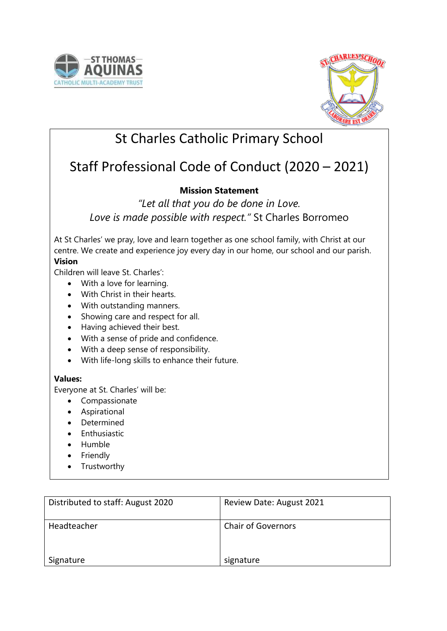



# St Charles Catholic Primary School

# Staff Professional Code of Conduct (2020 – 2021)

## **Mission Statement**

*"Let all that you do be done in Love. Love is made possible with respect."* St Charles Borromeo

At St Charles' we pray, love and learn together as one school family, with Christ at our centre. We create and experience joy every day in our home, our school and our parish. **Vision**

Children will leave St. Charles':

- With a love for learning.
- With Christ in their hearts.
- With outstanding manners.
- Showing care and respect for all.
- Having achieved their best.
- With a sense of pride and confidence.
- With a deep sense of responsibility.
- With life-long skills to enhance their future.

## **Values:**

Everyone at St. Charles' will be:

- Compassionate
- Aspirational
- Determined
- **•** Enthusiastic
- Humble
- Friendly
- Trustworthy

| Distributed to staff: August 2020 | Review Date: August 2021  |
|-----------------------------------|---------------------------|
| Headteacher                       | <b>Chair of Governors</b> |
| Signature                         | signature                 |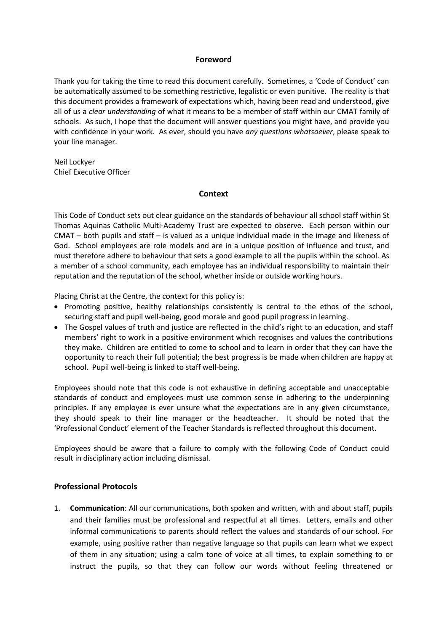#### **Foreword**

Thank you for taking the time to read this document carefully. Sometimes, a 'Code of Conduct' can be automatically assumed to be something restrictive, legalistic or even punitive. The reality is that this document provides a framework of expectations which, having been read and understood, give all of us a *clear understanding* of what it means to be a member of staff within our CMAT family of schools. As such, I hope that the document will answer questions you might have, and provide you with confidence in your work. As ever, should you have *any questions whatsoever*, please speak to your line manager.

Neil Lockyer Chief Executive Officer

#### **Context**

This Code of Conduct sets out clear guidance on the standards of behaviour all school staff within St Thomas Aquinas Catholic Multi-Academy Trust are expected to observe. Each person within our CMAT – both pupils and staff – is valued as a unique individual made in the image and likeness of God. School employees are role models and are in a unique position of influence and trust, and must therefore adhere to behaviour that sets a good example to all the pupils within the school. As a member of a school community, each employee has an individual responsibility to maintain their reputation and the reputation of the school, whether inside or outside working hours.

Placing Christ at the Centre, the context for this policy is:

- Promoting positive, healthy relationships consistently is central to the ethos of the school, securing staff and pupil well-being, good morale and good pupil progress in learning.
- The Gospel values of truth and justice are reflected in the child's right to an education, and staff members' right to work in a positive environment which recognises and values the contributions they make. Children are entitled to come to school and to learn in order that they can have the opportunity to reach their full potential; the best progress is be made when children are happy at school. Pupil well-being is linked to staff well-being.

Employees should note that this code is not exhaustive in defining acceptable and unacceptable standards of conduct and employees must use common sense in adhering to the underpinning principles. If any employee is ever unsure what the expectations are in any given circumstance, they should speak to their line manager or the headteacher. It should be noted that the 'Professional Conduct' element of the Teacher Standards is reflected throughout this document.

Employees should be aware that a failure to comply with the following Code of Conduct could result in disciplinary action including dismissal.

#### **Professional Protocols**

1. **Communication**: All our communications, both spoken and written, with and about staff, pupils and their families must be professional and respectful at all times. Letters, emails and other informal communications to parents should reflect the values and standards of our school. For example, using positive rather than negative language so that pupils can learn what we expect of them in any situation; using a calm tone of voice at all times, to explain something to or instruct the pupils, so that they can follow our words without feeling threatened or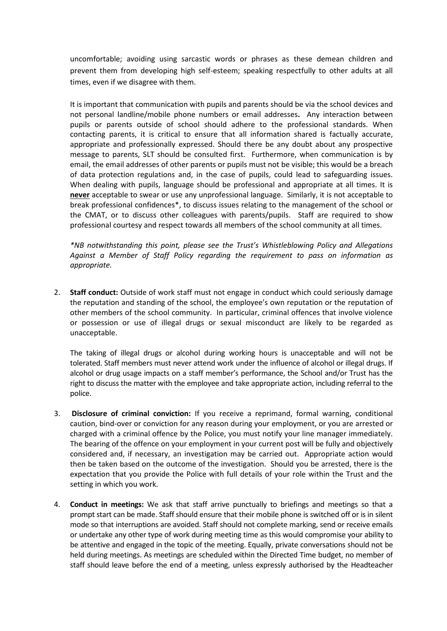uncomfortable; avoiding using sarcastic words or phrases as these demean children and prevent them from developing high self-esteem; speaking respectfully to other adults at all times, even if we disagree with them.

It is important that communication with pupils and parents should be via the school devices and not personal landline/mobile phone numbers or email addresses**.** Any interaction between pupils or parents outside of school should adhere to the professional standards. When contacting parents, it is critical to ensure that all information shared is factually accurate, appropriate and professionally expressed. Should there be any doubt about any prospective message to parents, SLT should be consulted first. Furthermore, when communication is by email, the email addresses of other parents or pupils must not be visible; this would be a breach of data protection regulations and, in the case of pupils, could lead to safeguarding issues. When dealing with pupils, language should be professional and appropriate at all times. It is **never** acceptable to swear or use any unprofessional language. Similarly, it is not acceptable to break professional confidences\*, to discuss issues relating to the management of the school or the CMAT, or to discuss other colleagues with parents/pupils. Staff are required to show professional courtesy and respect towards all members of the school community at all times.

*\*NB notwithstanding this point, please see the Trust's Whistleblowing Policy and Allegations Against a Member of Staff Policy regarding the requirement to pass on information as appropriate.*

2. **Staff conduct:** Outside of work staff must not engage in conduct which could seriously damage the reputation and standing of the school, the employee's own reputation or the reputation of other members of the school community. In particular, criminal offences that involve violence or possession or use of illegal drugs or sexual misconduct are likely to be regarded as unacceptable.

The taking of illegal drugs or alcohol during working hours is unacceptable and will not be tolerated. Staff members must never attend work under the influence of alcohol or illegal drugs. If alcohol or drug usage impacts on a staff member's performance, the School and/or Trust has the right to discuss the matter with the employee and take appropriate action, including referral to the police.

- 3. **Disclosure of criminal conviction:** If you receive a reprimand, formal warning, conditional caution, bind-over or conviction for any reason during your employment, or you are arrested or charged with a criminal offence by the Police, you must notify your line manager immediately. The bearing of the offence on your employment in your current post will be fully and objectively considered and, if necessary, an investigation may be carried out. Appropriate action would then be taken based on the outcome of the investigation. Should you be arrested, there is the expectation that you provide the Police with full details of your role within the Trust and the setting in which you work.
- 4. **Conduct in meetings:** We ask that staff arrive punctually to briefings and meetings so that a prompt start can be made. Staff should ensure that their mobile phone is switched off or is in silent mode so that interruptions are avoided. Staff should not complete marking, send or receive emails or undertake any other type of work during meeting time as this would compromise your ability to be attentive and engaged in the topic of the meeting. Equally, private conversations should not be held during meetings. As meetings are scheduled within the Directed Time budget, no member of staff should leave before the end of a meeting, unless expressly authorised by the Headteacher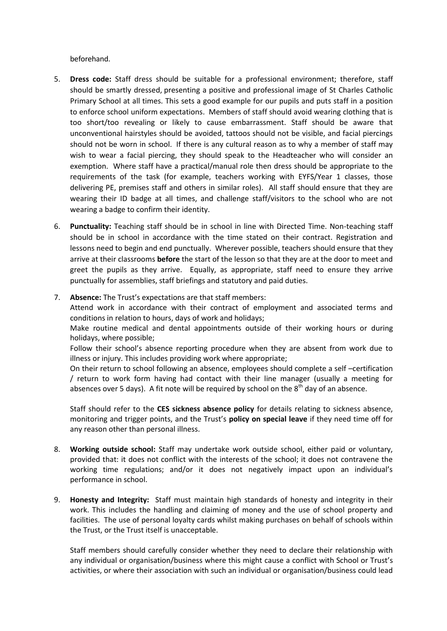beforehand.

- 5. **Dress code:** Staff dress should be suitable for a professional environment; therefore, staff should be smartly dressed, presenting a positive and professional image of St Charles Catholic Primary School at all times. This sets a good example for our pupils and puts staff in a position to enforce school uniform expectations. Members of staff should avoid wearing clothing that is too short/too revealing or likely to cause embarrassment. Staff should be aware that unconventional hairstyles should be avoided, tattoos should not be visible, and facial piercings should not be worn in school. If there is any cultural reason as to why a member of staff may wish to wear a facial piercing, they should speak to the Headteacher who will consider an exemption. Where staff have a practical/manual role then dress should be appropriate to the requirements of the task (for example, teachers working with EYFS/Year 1 classes, those delivering PE, premises staff and others in similar roles). All staff should ensure that they are wearing their ID badge at all times, and challenge staff/visitors to the school who are not wearing a badge to confirm their identity.
- 6. **Punctuality:** Teaching staff should be in school in line with Directed Time. Non-teaching staff should be in school in accordance with the time stated on their contract. Registration and lessons need to begin and end punctually. Wherever possible, teachers should ensure that they arrive at their classrooms **before** the start of the lesson so that they are at the door to meet and greet the pupils as they arrive. Equally, as appropriate, staff need to ensure they arrive punctually for assemblies, staff briefings and statutory and paid duties.
- 7. **Absence:** The Trust's expectations are that staff members: Attend work in accordance with their contract of employment and associated terms and conditions in relation to hours, days of work and holidays;

Make routine medical and dental appointments outside of their working hours or during holidays, where possible;

Follow their school's absence reporting procedure when they are absent from work due to illness or injury. This includes providing work where appropriate;

On their return to school following an absence, employees should complete a self –certification / return to work form having had contact with their line manager (usually a meeting for absences over 5 days). A fit note will be required by school on the  $8<sup>th</sup>$  day of an absence.

Staff should refer to the **CES sickness absence policy** for details relating to sickness absence, monitoring and trigger points, and the Trust's **policy on special leave** if they need time off for any reason other than personal illness.

- 8. **Working outside school:** Staff may undertake work outside school, either paid or voluntary, provided that: it does not conflict with the interests of the school; it does not contravene the working time regulations; and/or it does not negatively impact upon an individual's performance in school.
- 9. **Honesty and Integrity:** Staff must maintain high standards of honesty and integrity in their work. This includes the handling and claiming of money and the use of school property and facilities. The use of personal loyalty cards whilst making purchases on behalf of schools within the Trust, or the Trust itself is unacceptable.

Staff members should carefully consider whether they need to declare their relationship with any individual or organisation/business where this might cause a conflict with School or Trust's activities, or where their association with such an individual or organisation/business could lead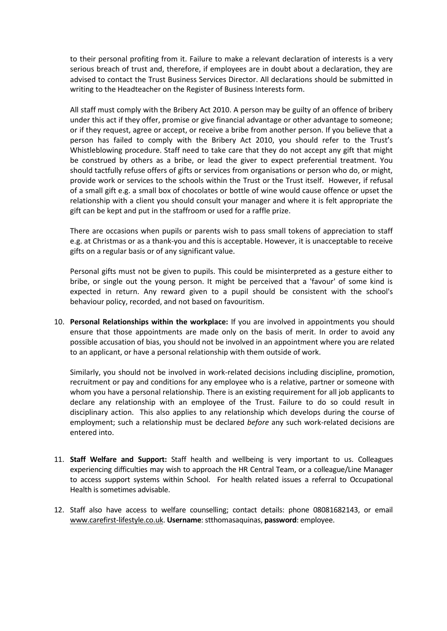to their personal profiting from it. Failure to make a relevant declaration of interests is a very serious breach of trust and, therefore, if employees are in doubt about a declaration, they are advised to contact the Trust Business Services Director. All declarations should be submitted in writing to the Headteacher on the Register of Business Interests form.

All staff must comply with the Bribery Act 2010. A person may be guilty of an offence of bribery under this act if they offer, promise or give financial advantage or other advantage to someone; or if they request, agree or accept, or receive a bribe from another person. If you believe that a person has failed to comply with the Bribery Act 2010, you should refer to the Trust's Whistleblowing procedure. Staff need to take care that they do not accept any gift that might be construed by others as a bribe, or lead the giver to expect preferential treatment. You should tactfully refuse offers of gifts or services from organisations or person who do, or might, provide work or services to the schools within the Trust or the Trust itself. However, if refusal of a small gift e.g. a small box of chocolates or bottle of wine would cause offence or upset the relationship with a client you should consult your manager and where it is felt appropriate the gift can be kept and put in the staffroom or used for a raffle prize.

There are occasions when pupils or parents wish to pass small tokens of appreciation to staff e.g. at Christmas or as a thank-you and this is acceptable. However, it is unacceptable to receive gifts on a regular basis or of any significant value.

Personal gifts must not be given to pupils. This could be misinterpreted as a gesture either to bribe, or single out the young person. It might be perceived that a 'favour' of some kind is expected in return. Any reward given to a pupil should be consistent with the school's behaviour policy, recorded, and not based on favouritism.

10. **Personal Relationships within the workplace:** If you are involved in appointments you should ensure that those appointments are made only on the basis of merit. In order to avoid any possible accusation of bias, you should not be involved in an appointment where you are related to an applicant, or have a personal relationship with them outside of work.

Similarly, you should not be involved in work-related decisions including discipline, promotion, recruitment or pay and conditions for any employee who is a relative, partner or someone with whom you have a personal relationship. There is an existing requirement for all job applicants to declare any relationship with an employee of the Trust. Failure to do so could result in disciplinary action. This also applies to any relationship which develops during the course of employment; such a relationship must be declared *before* any such work-related decisions are entered into.

- 11. **Staff Welfare and Support:** Staff health and wellbeing is very important to us. Colleagues experiencing difficulties may wish to approach the HR Central Team, or a colleague/Line Manager to access support systems within School. For health related issues a referral to Occupational Health is sometimes advisable.
- 12. Staff also have access to welfare counselling; contact details: phone 08081682143, or email [www.carefirst-lifestyle.co.uk.](http://www.carefirst-lifestyle.co.uk/) **Username**: stthomasaquinas, **password**: employee.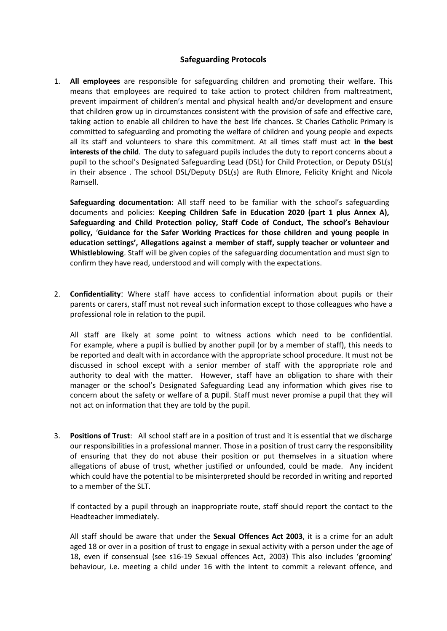### **Safeguarding Protocols**

1. **All employees** are responsible for safeguarding children and promoting their welfare. This means that employees are required to take action to protect children from maltreatment, prevent impairment of children's mental and physical health and/or development and ensure that children grow up in circumstances consistent with the provision of safe and effective care, taking action to enable all children to have the best life chances. St Charles Catholic Primary is committed to safeguarding and promoting the welfare of children and young people and expects all its staff and volunteers to share this commitment. At all times staff must act **in the best interests of the child**. The duty to safeguard pupils includes the duty to report concerns about a pupil to the school's Designated Safeguarding Lead (DSL) for Child Protection, or Deputy DSL(s) in their absence . The school DSL/Deputy DSL(s) are Ruth Elmore, Felicity Knight and Nicola Ramsell.

**Safeguarding documentation**: All staff need to be familiar with the school's safeguarding documents and policies: **Keeping Children Safe in Education 2020 (part 1 plus Annex A), Safeguarding and Child Protection policy, Staff Code of Conduct, The school's Behaviour policy,** '**Guidance for the Safer Working Practices for those children and young people in education settings', Allegations against a member of staff, supply teacher or volunteer and Whistleblowing**. Staff will be given copies of the safeguarding documentation and must sign to confirm they have read, understood and will comply with the expectations.

2. **Confidentiality**: Where staff have access to confidential information about pupils or their parents or carers, staff must not reveal such information except to those colleagues who have a professional role in relation to the pupil.

All staff are likely at some point to witness actions which need to be confidential. For example, where a pupil is bullied by another pupil (or by a member of staff), this needs to be reported and dealt with in accordance with the appropriate school procedure. It must not be discussed in school except with a senior member of staff with the appropriate role and authority to deal with the matter. However, staff have an obligation to share with their manager or the school's Designated Safeguarding Lead any information which gives rise to concern about the safety or welfare of a pupil. Staff must never promise a pupil that they will not act on information that they are told by the pupil.

3. **Positions of Trust**: All school staff are in a position of trust and it is essential that we discharge our responsibilities in a professional manner. Those in a position of trust carry the responsibility of ensuring that they do not abuse their position or put themselves in a situation where allegations of abuse of trust, whether justified or unfounded, could be made. Any incident which could have the potential to be misinterpreted should be recorded in writing and reported to a member of the SLT.

If contacted by a pupil through an inappropriate route, staff should report the contact to the Headteacher immediately.

All staff should be aware that under the **Sexual Offences Act 2003**, it is a crime for an adult aged 18 or over in a position of trust to engage in sexual activity with a person under the age of 18, even if consensual (see s16-19 Sexual offences Act, 2003) This also includes 'grooming' behaviour, i.e. meeting a child under 16 with the intent to commit a relevant offence, and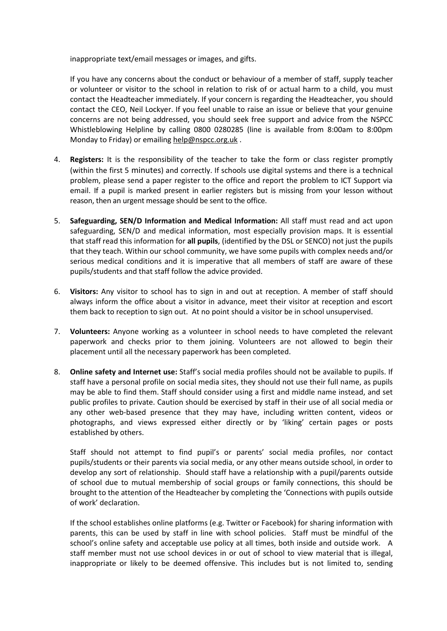inappropriate text/email messages or images, and gifts.

If you have any concerns about the conduct or behaviour of a member of staff, supply teacher or volunteer or visitor to the school in relation to risk of or actual harm to a child, you must contact the Headteacher immediately. If your concern is regarding the Headteacher, you should contact the CEO, Neil Lockyer. If you feel unable to raise an issue or believe that your genuine concerns are not being addressed, you should seek free support and advice from the NSPCC Whistleblowing Helpline by calling 0800 0280285 (line is available from 8:00am to 8:00pm Monday to Friday) or emailin[g help@nspcc.org.uk](mailto:help@nspcc.org.uk) .

- 4. **Registers:** It is the responsibility of the teacher to take the form or class register promptly (within the first 5 minutes) and correctly. If schools use digital systems and there is a technical problem, please send a paper register to the office and report the problem to ICT Support via email. If a pupil is marked present in earlier registers but is missing from your lesson without reason, then an urgent message should be sent to the office.
- 5. **Safeguarding, SEN/D Information and Medical Information:** All staff must read and act upon safeguarding, SEN/D and medical information, most especially provision maps. It is essential that staff read this information for **all pupils**, (identified by the DSL or SENCO) not just the pupils that they teach. Within our school community, we have some pupils with complex needs and/or serious medical conditions and it is imperative that all members of staff are aware of these pupils/students and that staff follow the advice provided.
- 6. **Visitors:** Any visitor to school has to sign in and out at reception. A member of staff should always inform the office about a visitor in advance, meet their visitor at reception and escort them back to reception to sign out. At no point should a visitor be in school unsupervised.
- 7. **Volunteers:** Anyone working as a volunteer in school needs to have completed the relevant paperwork and checks prior to them joining. Volunteers are not allowed to begin their placement until all the necessary paperwork has been completed.
- 8. **Online safety and Internet use:** Staff's social media profiles should not be available to pupils. If staff have a personal profile on social media sites, they should not use their full name, as pupils may be able to find them. Staff should consider using a first and middle name instead, and set public profiles to private. Caution should be exercised by staff in their use of all social media or any other web-based presence that they may have, including written content, videos or photographs, and views expressed either directly or by 'liking' certain pages or posts established by others.

Staff should not attempt to find pupil's or parents' social media profiles, nor contact pupils/students or their parents via social media, or any other means outside school, in order to develop any sort of relationship. Should staff have a relationship with a pupil/parents outside of school due to mutual membership of social groups or family connections, this should be brought to the attention of the Headteacher by completing the 'Connections with pupils outside of work' declaration.

If the school establishes online platforms (e.g. Twitter or Facebook) for sharing information with parents, this can be used by staff in line with school policies. Staff must be mindful of the school's online safety and acceptable use policy at all times, both inside and outside work. A staff member must not use school devices in or out of school to view material that is illegal, inappropriate or likely to be deemed offensive. This includes but is not limited to, sending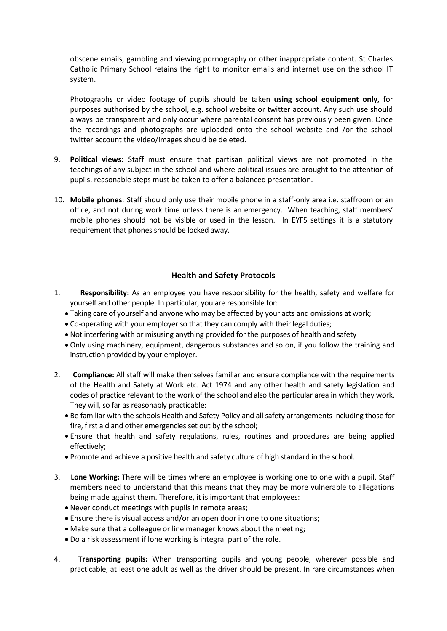obscene emails, gambling and viewing pornography or other inappropriate content. St Charles Catholic Primary School retains the right to monitor emails and internet use on the school IT system.

Photographs or video footage of pupils should be taken **using school equipment only,** for purposes authorised by the school, e.g. school website or twitter account. Any such use should always be transparent and only occur where parental consent has previously been given. Once the recordings and photographs are uploaded onto the school website and /or the school twitter account the video/images should be deleted.

- 9. **Political views:** Staff must ensure that partisan political views are not promoted in the teachings of any subject in the school and where political issues are brought to the attention of pupils, reasonable steps must be taken to offer a balanced presentation.
- 10. **Mobile phones**: Staff should only use their mobile phone in a staff-only area i.e. staffroom or an office, and not during work time unless there is an emergency. When teaching, staff members' mobile phones should not be visible or used in the lesson. In EYFS settings it is a statutory requirement that phones should be locked away.

### **Health and Safety Protocols**

- 1. **Responsibility:** As an employee you have responsibility for the health, safety and welfare for yourself and other people. In particular, you are responsible for:
	- Taking care of yourself and anyone who may be affected by your acts and omissions at work;
	- Co-operating with your employer so that they can comply with their legal duties;
	- Not interfering with or misusing anything provided for the purposes of health and safety
	- Only using machinery, equipment, dangerous substances and so on, if you follow the training and instruction provided by your employer.
- 2. **Compliance:** All staff will make themselves familiar and ensure compliance with the requirements of the Health and Safety at Work etc. Act 1974 and any other health and safety legislation and codes of practice relevant to the work of the school and also the particular area in which they work. They will, so far as reasonably practicable:
	- Be familiar with the schools Health and Safety Policy and all safety arrangements including those for fire, first aid and other emergencies set out by the school;
	- Ensure that health and safety regulations, rules, routines and procedures are being applied effectively;
	- Promote and achieve a positive health and safety culture of high standard in the school.
- 3. **Lone Working:** There will be times where an employee is working one to one with a pupil. Staff members need to understand that this means that they may be more vulnerable to allegations being made against them. Therefore, it is important that employees:
	- Never conduct meetings with pupils in remote areas;
	- Ensure there is visual access and/or an open door in one to one situations;
	- Make sure that a colleague or line manager knows about the meeting;
	- Do a risk assessment if lone working is integral part of the role.
- 4. **Transporting pupils:** When transporting pupils and young people, wherever possible and practicable, at least one adult as well as the driver should be present. In rare circumstances when